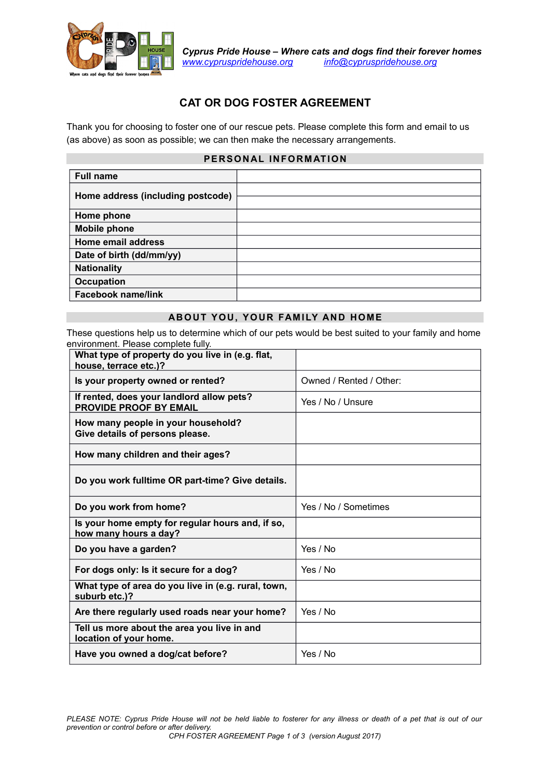

# **CAT OR DOG FOSTER AGREEMENT**

Thank you for choosing to foster one of our rescue pets. Please complete this form and email to us (as above) as soon as possible; we can then make the necessary arrangements.

## **PERSONAL INFORMATION**

| <b>Full name</b>                  |  |
|-----------------------------------|--|
| Home address (including postcode) |  |
| Home phone                        |  |
| <b>Mobile phone</b>               |  |
| Home email address                |  |
| Date of birth (dd/mm/yy)          |  |
| <b>Nationality</b>                |  |
| <b>Occupation</b>                 |  |
| <b>Facebook name/link</b>         |  |

#### **ABOUT YOU, YOUR FAMILY AND HOME**

These questions help us to determine which of our pets would be best suited to your family and home environment. Please complete fully.

| What type of property do you live in (e.g. flat,<br>house, terrace etc.)?  |                         |
|----------------------------------------------------------------------------|-------------------------|
| Is your property owned or rented?                                          | Owned / Rented / Other: |
| If rented, does your landlord allow pets?<br><b>PROVIDE PROOF BY EMAIL</b> | Yes / No / Unsure       |
| How many people in your household?<br>Give details of persons please.      |                         |
| How many children and their ages?                                          |                         |
| Do you work fulltime OR part-time? Give details.                           |                         |
| Do you work from home?                                                     | Yes / No / Sometimes    |
| Is your home empty for regular hours and, if so,<br>how many hours a day?  |                         |
| Do you have a garden?                                                      | Yes / No                |
| For dogs only: Is it secure for a dog?                                     | Yes / No                |
| What type of area do you live in (e.g. rural, town,<br>suburb etc.)?       |                         |
| Are there regularly used roads near your home?                             | Yes / No                |
| Tell us more about the area you live in and<br>location of your home.      |                         |
| Have you owned a dog/cat before?                                           | Yes / No                |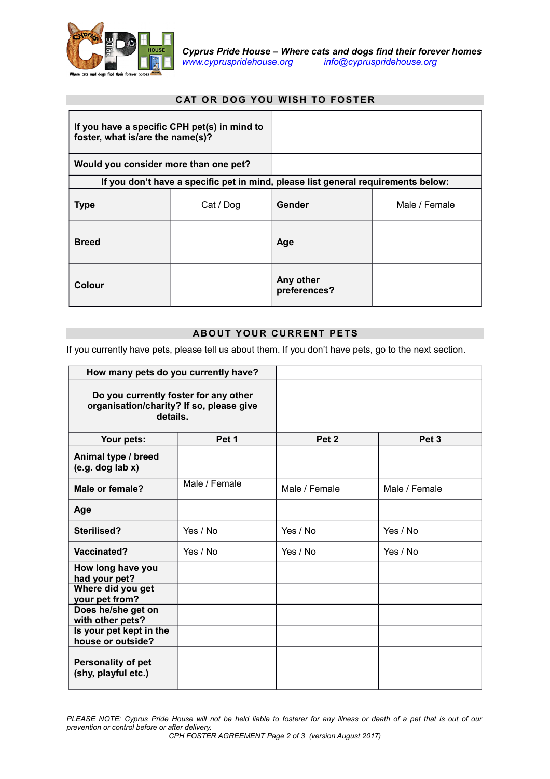

## **CAT OR DOG YOU WISH TO FOSTER**

| If you have a specific CPH pet(s) in mind to<br>foster, what is/are the name(s)? |           |                                                                                   |               |
|----------------------------------------------------------------------------------|-----------|-----------------------------------------------------------------------------------|---------------|
| Would you consider more than one pet?                                            |           |                                                                                   |               |
|                                                                                  |           | If you don't have a specific pet in mind, please list general requirements below: |               |
| <b>Type</b>                                                                      | Cat / Dog | Gender                                                                            | Male / Female |
| <b>Breed</b>                                                                     |           | Age                                                                               |               |
| Colour                                                                           |           | Any other<br>preferences?                                                         |               |

#### **ABOUT YOUR CURRENT PETS**

If you currently have pets, please tell us about them. If you don't have pets, go to the next section.

| How many pets do you currently have?                                                          |               |                  |                  |
|-----------------------------------------------------------------------------------------------|---------------|------------------|------------------|
| Do you currently foster for any other<br>organisation/charity? If so, please give<br>details. |               |                  |                  |
| Your pets:                                                                                    | Pet 1         | Pet <sub>2</sub> | Pet <sub>3</sub> |
| Animal type / breed<br>(e.g. dog lab x)                                                       |               |                  |                  |
| Male or female?                                                                               | Male / Female | Male / Female    | Male / Female    |
| Age                                                                                           |               |                  |                  |
| Sterilised?                                                                                   | Yes / No      | Yes / No         | Yes / No         |
| Vaccinated?                                                                                   | Yes / No      | Yes / No         | Yes / No         |
| How long have you<br>had your pet?                                                            |               |                  |                  |
| Where did you get<br>your pet from?                                                           |               |                  |                  |
| Does he/she get on<br>with other pets?                                                        |               |                  |                  |
| Is your pet kept in the<br>house or outside?                                                  |               |                  |                  |
| Personality of pet<br>(shy, playful etc.)                                                     |               |                  |                  |